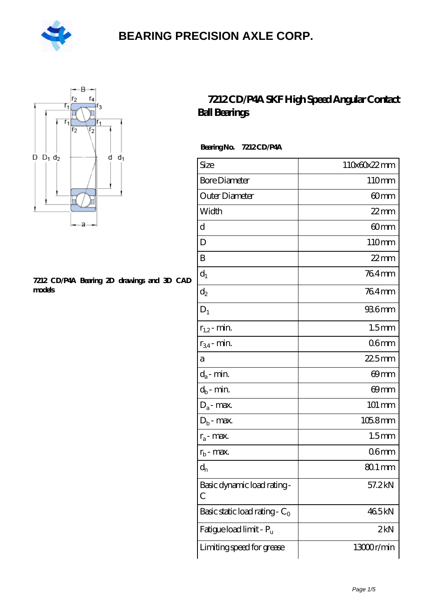



#### **[7212 CD/P4A Bearing 2D drawings and 3D CAD](https://m.hilalanaokulu.com/pic-660782.html) [models](https://m.hilalanaokulu.com/pic-660782.html)**

#### **[7212 CD/P4A SKF High Speed Angular Contact](https://m.hilalanaokulu.com/skf-bearings/7212-cd-p4a.html) [Ball Bearings](https://m.hilalanaokulu.com/skf-bearings/7212-cd-p4a.html)**

 **Bearing No. 7212 CD/P4A**

| Size                             | 110x60x22mm         |
|----------------------------------|---------------------|
| <b>Bore Diameter</b>             | 110mm               |
| Outer Diameter                   | 60mm                |
| Width                            | $22$ mm             |
| d                                | 60mm                |
| D                                | 110mm               |
| B                                | $22$ mm             |
| $d_1$                            | 764mm               |
| $\mathrm{d}_2$                   | 764mm               |
| $D_1$                            | 936mm               |
| $r_{1,2}$ - min.                 | 1.5 <sub>mm</sub>   |
| $r_{34}$ - min.                  | 06 <sub>mm</sub>    |
| а                                | $225$ mm            |
| $d_a$ - min.                     | 69mm                |
| $d_b$ - min.                     | 69mm                |
| $D_a$ - max.                     | 101 mm              |
| $\mathbf{D}_\mathrm{b}$ - max.   | $1058$ mm           |
| $r_a$ - max.                     | 1.5 <sub>mm</sub>   |
| $r_{b}$ - max.                   | 06 <sub>mm</sub>    |
| $d_{n}$                          | $801 \,\mathrm{mm}$ |
| Basic dynamic load rating-<br>С  | 57.2kN              |
| Basic static load rating - $C_0$ | 465kN               |
| Fatigue load limit - Pu          | 2kN                 |
| Limiting speed for grease        | 13000r/min          |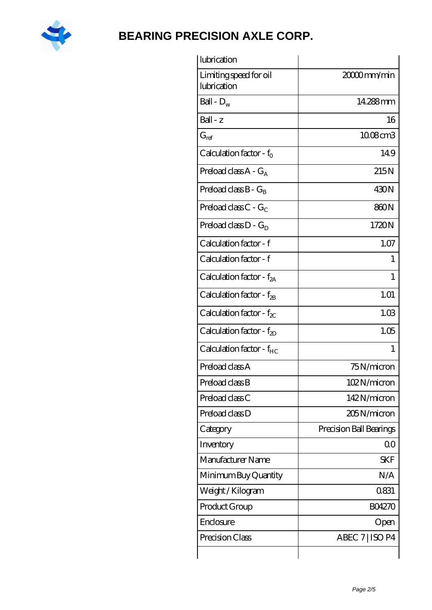

| lubrication                           |                         |
|---------------------------------------|-------------------------|
| Limiting speed for oil<br>lubrication | 20000mm/min             |
| Ball - $D_w$                          | 14.288mm                |
| $Ball - z$                            | 16                      |
| $G_{ref}$                             | 1008cm3                 |
| Calculation factor - $f_0$            | 149                     |
| Preload class $A - G_A$               | 215N                    |
| Preload class $B - G_R$               | 430N                    |
| Preload class $C - G_C$               | 860N                    |
| Preload class $D - G_D$               | 1720N                   |
| Calculation factor - f                | 1.07                    |
| Calculation factor - f                | 1                       |
| Calculation factor - $f_{2A}$         | 1                       |
| Calculation factor - $f_{2B}$         | 1.01                    |
| Calculation factor - $f_{\chi}$       | 1.03                    |
| Calculation factor - $f_{2D}$         | 1.05                    |
| Calculation factor - f <sub>HC</sub>  | 1                       |
| Preload class A                       | 75N/micron              |
| Preload class B                       | 102N/micron             |
| Preload class C                       | 142N/micron             |
| Preload class D                       | 205N/micron             |
| Category                              | Precision Ball Bearings |
| Inventory                             | 0 <sup>0</sup>          |
| Manufacturer Name                     | <b>SKF</b>              |
| Minimum Buy Quantity                  | N/A                     |
| Weight / Kilogram                     | 0831                    |
| Product Group                         | <b>BO4270</b>           |
| Enclosure                             | Open                    |
| Precision Class                       | ABEC 7   ISO P4         |
|                                       |                         |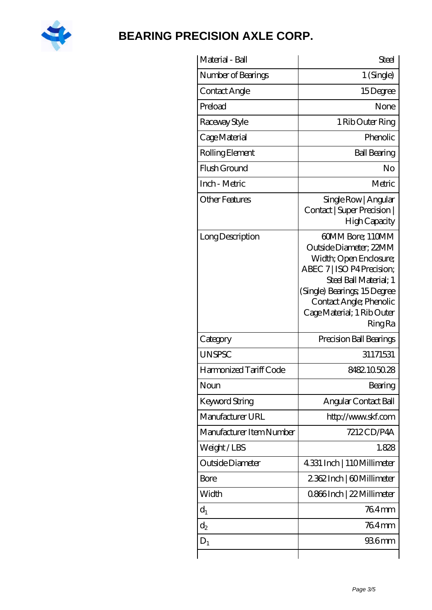

| Material - Ball          | <b>Steel</b>                                                                                                                                                                                                                           |
|--------------------------|----------------------------------------------------------------------------------------------------------------------------------------------------------------------------------------------------------------------------------------|
| Number of Bearings       | 1 (Single)                                                                                                                                                                                                                             |
| Contact Angle            | 15Degree                                                                                                                                                                                                                               |
| Preload                  | None                                                                                                                                                                                                                                   |
| Raceway Style            | 1 Rib Outer Ring                                                                                                                                                                                                                       |
| Cage Material            | Phenolic                                                                                                                                                                                                                               |
| Rolling Element          | <b>Ball Bearing</b>                                                                                                                                                                                                                    |
| Flush Ground             | No                                                                                                                                                                                                                                     |
| Inch - Metric            | Metric                                                                                                                                                                                                                                 |
| Other Features           | Single Row   Angular<br>Contact   Super Precision  <br>High Capacity                                                                                                                                                                   |
| Long Description         | 60MM Bore; 110MM<br>Outside Diameter: 22MM<br>Width; Open Enclosure;<br>ABEC 7   ISO P4 Precision;<br>Steel Ball Material; 1<br>(Single) Bearings, 15Degree<br>Contact Angle; Phenolic<br>Cage Material; 1 Rib Outer<br><b>Ring Ra</b> |
| Category                 | Precision Ball Bearings                                                                                                                                                                                                                |
| <b>UNSPSC</b>            | 31171531                                                                                                                                                                                                                               |
| Harmonized Tariff Code   | 8482.105028                                                                                                                                                                                                                            |
| Noun                     | Bearing                                                                                                                                                                                                                                |
| <b>Keyword String</b>    | Angular Contact Ball                                                                                                                                                                                                                   |
| Manufacturer URL         | http://www.skf.com                                                                                                                                                                                                                     |
| Manufacturer Item Number | 7212CD/P4A                                                                                                                                                                                                                             |
| Weight/LBS               | 1.828                                                                                                                                                                                                                                  |
| Outside Diameter         | 4.331 Inch   110Millimeter                                                                                                                                                                                                             |
| Bore                     | 2362Inch   60Millimeter                                                                                                                                                                                                                |
| Width                    | 0.866Inch   22 Millimeter                                                                                                                                                                                                              |
| $d_1$                    | 764mm                                                                                                                                                                                                                                  |
| $d_2$                    | 764mm                                                                                                                                                                                                                                  |
| $D_1$                    | 936mm                                                                                                                                                                                                                                  |
|                          |                                                                                                                                                                                                                                        |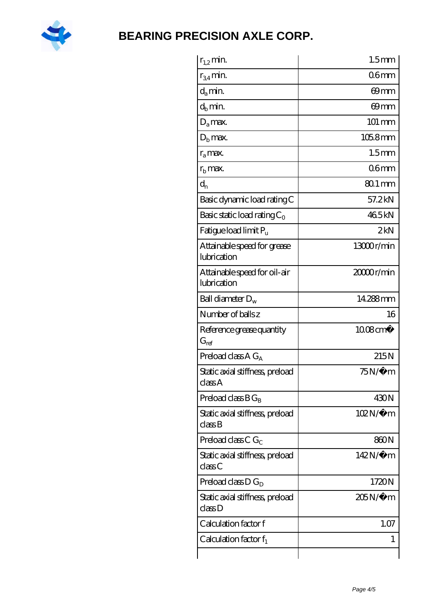

| $r_{1,2}$ min.                              | 1.5 <sub>mm</sub>      |
|---------------------------------------------|------------------------|
| $r_{34}$ min.                               | 06 <sub>mm</sub>       |
| $d_a$ min.                                  | 69mm                   |
| $d_h$ min.                                  | 69mm                   |
| $D_a$ max.                                  | $101 \, \text{mm}$     |
| $Db$ max.                                   | $1058$ mm              |
| $r_a$ max.                                  | 1.5 <sub>mm</sub>      |
| $r_{\rm b}$ max.                            | 06 <sub>mm</sub>       |
| $d_{n}$                                     | $801 \,\mathrm{mm}$    |
| Basic dynamic load rating C                 | 57.2kN                 |
| Basic static load rating $C_0$              | 465kN                  |
| Fatigue load limit $P_u$                    | 2kN                    |
| Attainable speed for grease<br>lubrication  | 13000r/min             |
| Attainable speed for oil-air<br>lubrication | 2000 <sub>r/min</sub>  |
| Ball diameter $D_w$                         | 14288mm                |
| Number of balls z                           | 16                     |
| Reference grease quantity<br>$G_{ref}$      | $1008$ cm <sup>3</sup> |
| Preload class A $G_A$                       | 215N                   |
| Static axial stiffness, preload<br>classA   | $75N/\mu$ m            |
| Preload class $BG_B$                        | 430N                   |
| Static axial stiffness, preload<br>classB   | $102N/\mu$ m           |
| Preload class C $G_C$                       | 860N                   |
| Static axial stiffness, preload             | 142N/μ m               |
| classC                                      |                        |
| Preload class $D G_D$                       | 1720N                  |
| Static axial stiffness, preload<br>classD   | 205N/µ m               |
| Calculation factor f                        | 1.07                   |
| Calculation factor $f_1$                    | 1                      |